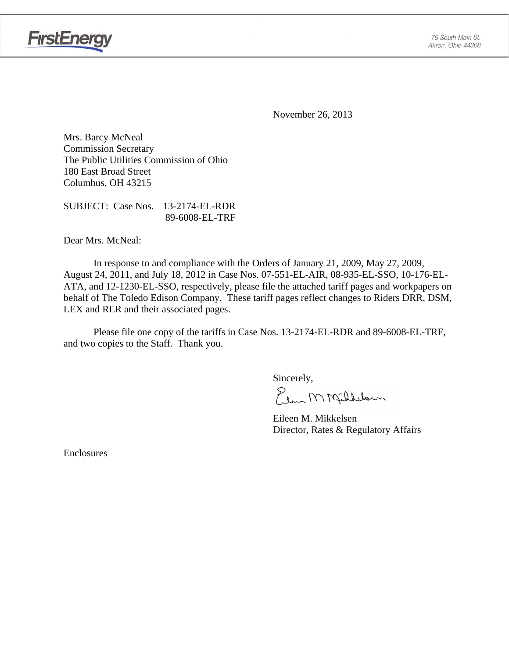

November 26, 2013

Mrs. Barcy McNeal Commission Secretary The Public Utilities Commission of Ohio 180 East Broad Street Columbus, OH 43215

SUBJECT: Case Nos. 13-2174-EL-RDR 89-6008-EL-TRF

Dear Mrs. McNeal:

**FirstEnergy** 

 In response to and compliance with the Orders of January 21, 2009, May 27, 2009, August 24, 2011, and July 18, 2012 in Case Nos. 07-551-EL-AIR, 08-935-EL-SSO, 10-176-EL-ATA, and 12-1230-EL-SSO, respectively, please file the attached tariff pages and workpapers on behalf of The Toledo Edison Company. These tariff pages reflect changes to Riders DRR, DSM, LEX and RER and their associated pages.

Please file one copy of the tariffs in Case Nos. 13-2174-EL-RDR and 89-6008-EL-TRF, and two copies to the Staff. Thank you.

Sincerely,

Elem M Milleloun

 Eileen M. Mikkelsen Director, Rates & Regulatory Affairs

Enclosures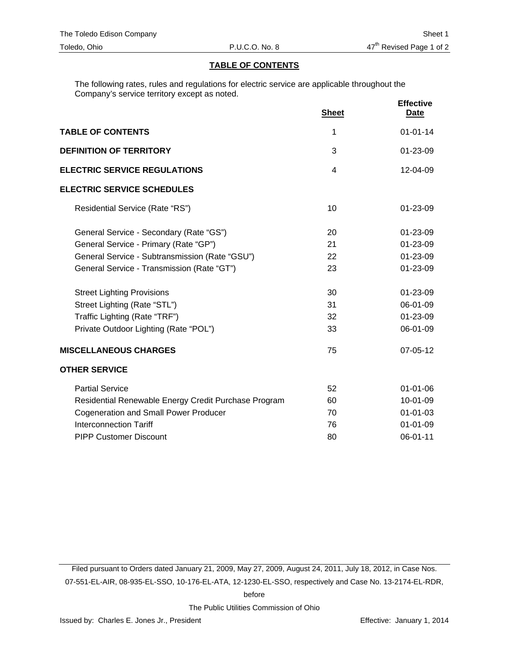#### **TABLE OF CONTENTS**

The following rates, rules and regulations for electric service are applicable throughout the Company's service territory except as noted.

|                                                      | <b>Sheet</b> | <b>Effective</b><br><u>Date</u> |
|------------------------------------------------------|--------------|---------------------------------|
| <b>TABLE OF CONTENTS</b>                             | 1            | $01 - 01 - 14$                  |
| <b>DEFINITION OF TERRITORY</b>                       | 3            | 01-23-09                        |
| <b>ELECTRIC SERVICE REGULATIONS</b>                  | 4            | 12-04-09                        |
| <b>ELECTRIC SERVICE SCHEDULES</b>                    |              |                                 |
| Residential Service (Rate "RS")                      | 10           | $01 - 23 - 09$                  |
| General Service - Secondary (Rate "GS")              | 20           | 01-23-09                        |
| General Service - Primary (Rate "GP")                | 21           | 01-23-09                        |
| General Service - Subtransmission (Rate "GSU")       | 22           | 01-23-09                        |
| General Service - Transmission (Rate "GT")           | 23           | 01-23-09                        |
| <b>Street Lighting Provisions</b>                    | 30           | $01 - 23 - 09$                  |
| Street Lighting (Rate "STL")                         | 31           | 06-01-09                        |
| Traffic Lighting (Rate "TRF")                        | 32           | 01-23-09                        |
| Private Outdoor Lighting (Rate "POL")                | 33           | 06-01-09                        |
| <b>MISCELLANEOUS CHARGES</b>                         | 75           | $07 - 05 - 12$                  |
| <b>OTHER SERVICE</b>                                 |              |                                 |
| <b>Partial Service</b>                               | 52           | $01 - 01 - 06$                  |
| Residential Renewable Energy Credit Purchase Program | 60           | $10 - 01 - 09$                  |
| <b>Cogeneration and Small Power Producer</b>         | 70           | $01 - 01 - 03$                  |
| <b>Interconnection Tariff</b>                        | 76           | $01 - 01 - 09$                  |
| <b>PIPP Customer Discount</b>                        | 80           | 06-01-11                        |

Filed pursuant to Orders dated January 21, 2009, May 27, 2009, August 24, 2011, July 18, 2012, in Case Nos. 07-551-EL-AIR, 08-935-EL-SSO, 10-176-EL-ATA, 12-1230-EL-SSO, respectively and Case No. 13-2174-EL-RDR,

before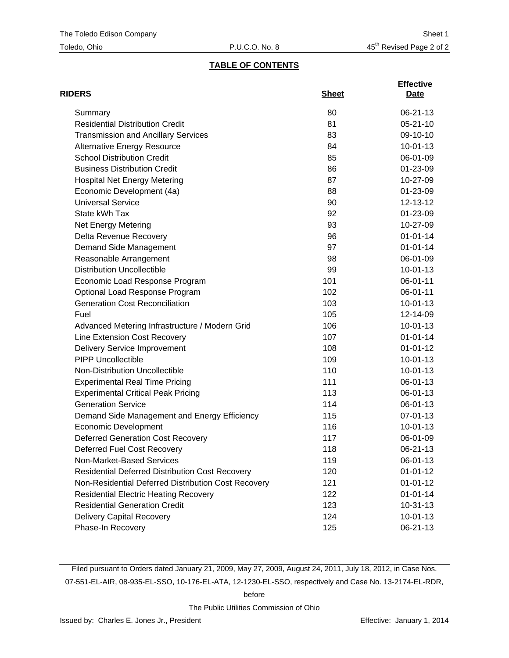### **TABLE OF CONTENTS**

| <b>RIDERS</b>                                          | <b>Sheet</b> | <b>Effective</b><br>Date |
|--------------------------------------------------------|--------------|--------------------------|
| Summary                                                | 80           | 06-21-13                 |
| <b>Residential Distribution Credit</b>                 | 81           | $05 - 21 - 10$           |
| <b>Transmission and Ancillary Services</b>             | 83           | 09-10-10                 |
| <b>Alternative Energy Resource</b>                     | 84           | $10 - 01 - 13$           |
| <b>School Distribution Credit</b>                      | 85           | 06-01-09                 |
| <b>Business Distribution Credit</b>                    | 86           | 01-23-09                 |
| <b>Hospital Net Energy Metering</b>                    | 87           | 10-27-09                 |
| Economic Development (4a)                              | 88           | 01-23-09                 |
| <b>Universal Service</b>                               | 90           | 12-13-12                 |
| State kWh Tax                                          | 92           | 01-23-09                 |
| <b>Net Energy Metering</b>                             | 93           | 10-27-09                 |
| Delta Revenue Recovery                                 | 96           | $01 - 01 - 14$           |
| Demand Side Management                                 | 97           | $01 - 01 - 14$           |
| Reasonable Arrangement                                 | 98           | 06-01-09                 |
| <b>Distribution Uncollectible</b>                      | 99           | $10 - 01 - 13$           |
| Economic Load Response Program                         | 101          | 06-01-11                 |
| Optional Load Response Program                         | 102          | 06-01-11                 |
| <b>Generation Cost Reconciliation</b>                  | 103          | $10 - 01 - 13$           |
| Fuel                                                   | 105          | 12-14-09                 |
| Advanced Metering Infrastructure / Modern Grid         | 106          | $10-01-13$               |
| Line Extension Cost Recovery                           | 107          | $01 - 01 - 14$           |
| <b>Delivery Service Improvement</b>                    | 108          | $01 - 01 - 12$           |
| <b>PIPP Uncollectible</b>                              | 109          | $10 - 01 - 13$           |
| Non-Distribution Uncollectible                         | 110          | $10 - 01 - 13$           |
| <b>Experimental Real Time Pricing</b>                  | 111          | 06-01-13                 |
| <b>Experimental Critical Peak Pricing</b>              | 113          | 06-01-13                 |
| <b>Generation Service</b>                              | 114          | 06-01-13                 |
| Demand Side Management and Energy Efficiency           | 115          | 07-01-13                 |
| <b>Economic Development</b>                            | 116          | $10 - 01 - 13$           |
| <b>Deferred Generation Cost Recovery</b>               | 117          | 06-01-09                 |
| Deferred Fuel Cost Recovery                            | 118          | 06-21-13                 |
| Non-Market-Based Services                              | 119          | 06-01-13                 |
| <b>Residential Deferred Distribution Cost Recovery</b> | 120          | $01 - 01 - 12$           |
| Non-Residential Deferred Distribution Cost Recovery    | 121          | $01 - 01 - 12$           |
| <b>Residential Electric Heating Recovery</b>           | 122          | $01 - 01 - 14$           |
| <b>Residential Generation Credit</b>                   | 123          | $10-31-13$               |
| Delivery Capital Recovery                              | 124          | $10 - 01 - 13$           |
| Phase-In Recovery                                      | 125          | 06-21-13                 |

Filed pursuant to Orders dated January 21, 2009, May 27, 2009, August 24, 2011, July 18, 2012, in Case Nos. 07-551-EL-AIR, 08-935-EL-SSO, 10-176-EL-ATA, 12-1230-EL-SSO, respectively and Case No. 13-2174-EL-RDR,

before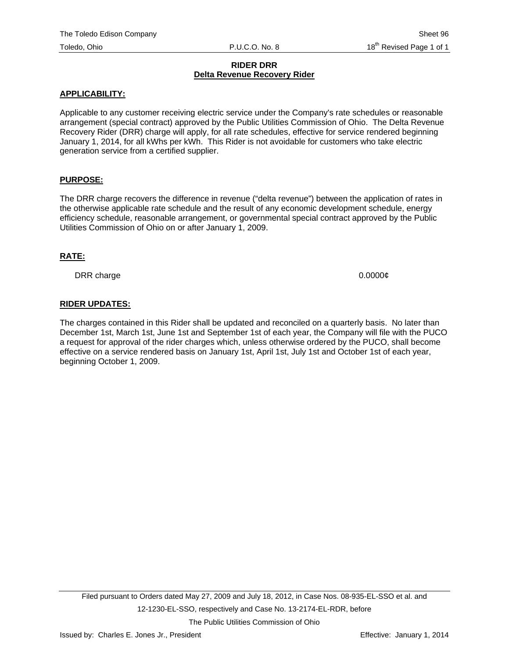#### **RIDER DRR Delta Revenue Recovery Rider**

#### **APPLICABILITY:**

Applicable to any customer receiving electric service under the Company's rate schedules or reasonable arrangement (special contract) approved by the Public Utilities Commission of Ohio. The Delta Revenue Recovery Rider (DRR) charge will apply, for all rate schedules, effective for service rendered beginning January 1, 2014, for all kWhs per kWh. This Rider is not avoidable for customers who take electric generation service from a certified supplier.

### **PURPOSE:**

The DRR charge recovers the difference in revenue ("delta revenue") between the application of rates in the otherwise applicable rate schedule and the result of any economic development schedule, energy efficiency schedule, reasonable arrangement, or governmental special contract approved by the Public Utilities Commission of Ohio on or after January 1, 2009.

#### **RATE:**

DRR charge 0.0000¢

### **RIDER UPDATES:**

The charges contained in this Rider shall be updated and reconciled on a quarterly basis. No later than December 1st, March 1st, June 1st and September 1st of each year, the Company will file with the PUCO a request for approval of the rider charges which, unless otherwise ordered by the PUCO, shall become effective on a service rendered basis on January 1st, April 1st, July 1st and October 1st of each year, beginning October 1, 2009.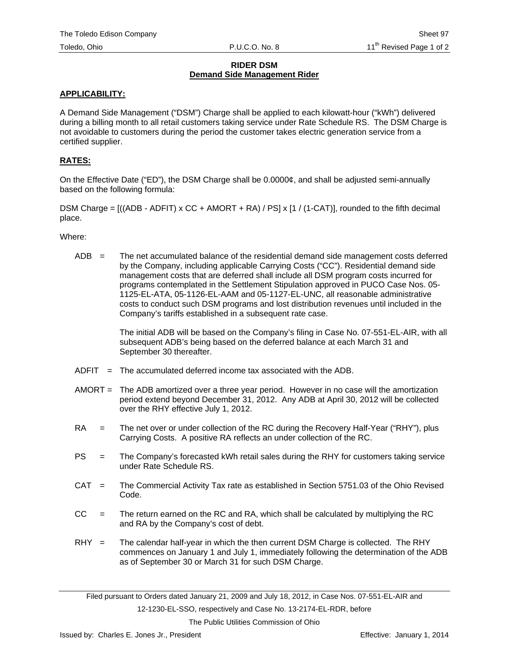#### **RIDER DSM Demand Side Management Rider**

### **APPLICABILITY:**

A Demand Side Management ("DSM") Charge shall be applied to each kilowatt-hour ("kWh") delivered during a billing month to all retail customers taking service under Rate Schedule RS. The DSM Charge is not avoidable to customers during the period the customer takes electric generation service from a certified supplier.

### **RATES:**

On the Effective Date ("ED"), the DSM Charge shall be 0.0000¢, and shall be adjusted semi-annually based on the following formula:

DSM Charge =  $((ADB - ADFIT) \times CC + AMORT + RA) / PS \times [1 / (1-CAT)]$ , rounded to the fifth decimal place.

Where:

 $ADB =$  The net accumulated balance of the residential demand side management costs deferred by the Company, including applicable Carrying Costs ("CC"). Residential demand side management costs that are deferred shall include all DSM program costs incurred for programs contemplated in the Settlement Stipulation approved in PUCO Case Nos. 05- 1125-EL-ATA, 05-1126-EL-AAM and 05-1127-EL-UNC, all reasonable administrative costs to conduct such DSM programs and lost distribution revenues until included in the Company's tariffs established in a subsequent rate case.

> The initial ADB will be based on the Company's filing in Case No. 07-551-EL-AIR, with all subsequent ADB's being based on the deferred balance at each March 31 and September 30 thereafter.

- $ADFIT = The accumulated deferred income tax associated with the ADB.$
- AMORT = The ADB amortized over a three year period. However in no case will the amortization period extend beyond December 31, 2012. Any ADB at April 30, 2012 will be collected over the RHY effective July 1, 2012.
- RA = The net over or under collection of the RC during the Recovery Half-Year ("RHY"), plus Carrying Costs. A positive RA reflects an under collection of the RC.
- PS = The Company's forecasted kWh retail sales during the RHY for customers taking service under Rate Schedule RS.
- CAT = The Commercial Activity Tax rate as established in Section 5751.03 of the Ohio Revised Code.
- $CC =$  The return earned on the RC and RA, which shall be calculated by multiplying the RC and RA by the Company's cost of debt.
- $RHY =$  The calendar half-year in which the then current DSM Charge is collected. The RHY commences on January 1 and July 1, immediately following the determination of the ADB as of September 30 or March 31 for such DSM Charge.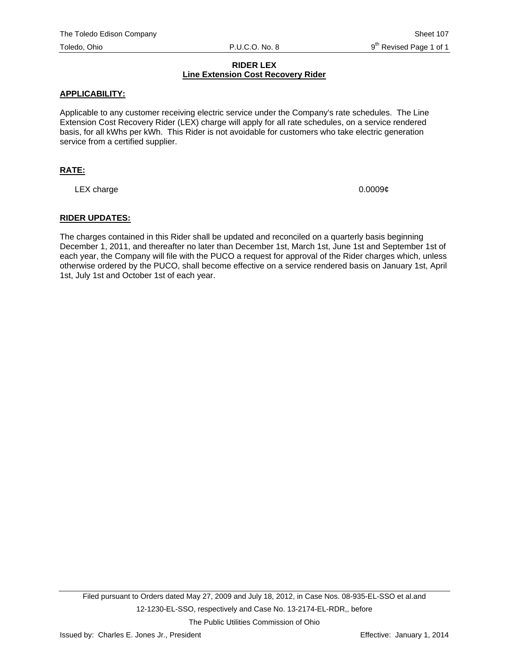#### **RIDER LEX Line Extension Cost Recovery Rider**

#### **APPLICABILITY:**

Applicable to any customer receiving electric service under the Company's rate schedules. The Line Extension Cost Recovery Rider (LEX) charge will apply for all rate schedules, on a service rendered basis, for all kWhs per kWh. This Rider is not avoidable for customers who take electric generation service from a certified supplier.

### **RATE:**

LEX charge  $0.0009\ell$ 

### **RIDER UPDATES:**

The charges contained in this Rider shall be updated and reconciled on a quarterly basis beginning December 1, 2011, and thereafter no later than December 1st, March 1st, June 1st and September 1st of each year, the Company will file with the PUCO a request for approval of the Rider charges which, unless otherwise ordered by the PUCO, shall become effective on a service rendered basis on January 1st, April 1st, July 1st and October 1st of each year.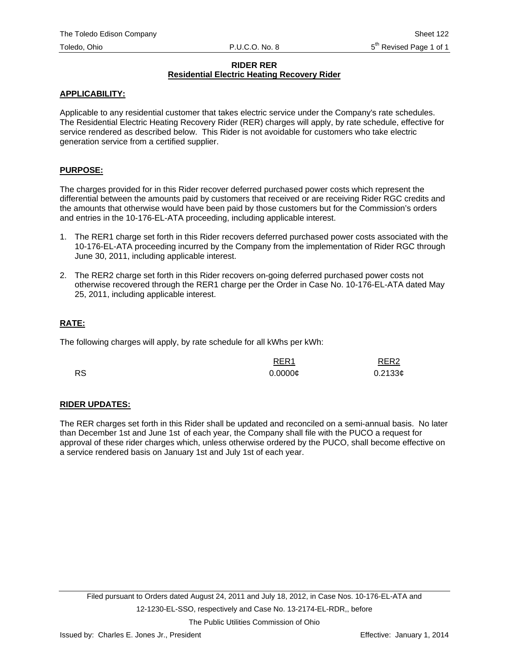#### **RIDER RER Residential Electric Heating Recovery Rider**

#### **APPLICABILITY:**

Applicable to any residential customer that takes electric service under the Company's rate schedules. The Residential Electric Heating Recovery Rider (RER) charges will apply, by rate schedule, effective for service rendered as described below. This Rider is not avoidable for customers who take electric generation service from a certified supplier.

### **PURPOSE:**

The charges provided for in this Rider recover deferred purchased power costs which represent the differential between the amounts paid by customers that received or are receiving Rider RGC credits and the amounts that otherwise would have been paid by those customers but for the Commission's orders and entries in the 10-176-EL-ATA proceeding, including applicable interest.

- 1. The RER1 charge set forth in this Rider recovers deferred purchased power costs associated with the 10-176-EL-ATA proceeding incurred by the Company from the implementation of Rider RGC through June 30, 2011, including applicable interest.
- 2. The RER2 charge set forth in this Rider recovers on-going deferred purchased power costs not otherwise recovered through the RER1 charge per the Order in Case No. 10-176-EL-ATA dated May 25, 2011, including applicable interest.

### **RATE:**

The following charges will apply, by rate schedule for all kWhs per kWh:

|           | RER <sub>1</sub>    | RER <sub>2</sub> |
|-----------|---------------------|------------------|
| <b>RS</b> | $0.0000\mathcal{C}$ | $0.2133$ ¢       |

### **RIDER UPDATES:**

The RER charges set forth in this Rider shall be updated and reconciled on a semi-annual basis. No later than December 1st and June 1st of each year, the Company shall file with the PUCO a request for approval of these rider charges which, unless otherwise ordered by the PUCO, shall become effective on a service rendered basis on January 1st and July 1st of each year.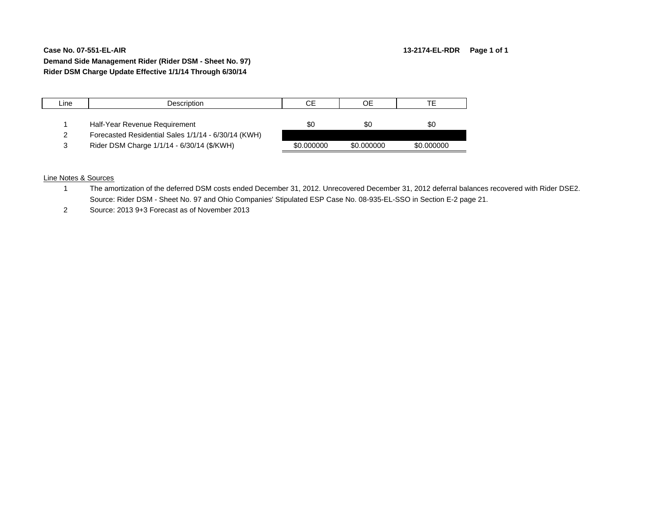#### **Case No. 07-551-EL-AIRDemand Side Management Rider (Rider DSM - Sheet No. 97) Rider DSM Charge Update Effective 1/1/14 Through 6/30/14**

# Line | Description | CE | OE | TE 1 Half-Year Revenue Requirement 1 1 \$0 \$0 \$0 \$0 2 Forecasted Residential Sales 1/1/14 - 6/30/14 (KWH) 3 Rider DSM Charge 1/1/14 - 6/30/14 (\$/KWH) \$0.000000 \$0.000000 \$0.000000

#### Line Notes & Sources

- 1 The amortization of the deferred DSM costs ended December 31, 2012. Unrecovered December 31, 2012 deferral balances recovered with Rider DSE2. Source: Rider DSM - Sheet No. 97 and Ohio Companies' Stipulated ESP Case No. 08-935-EL-SSO in Section E-2 page 21.
- 2 Source: 2013 9+3 Forecast as of November 2013

#### **13-2174-EL-RDR Page 1 of 1**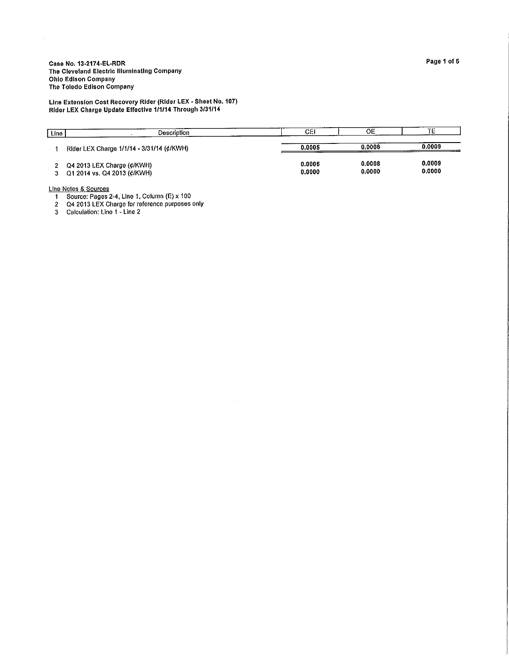Line Extension Cost Recovery Rider (Rider LEX - Sheet No. 107)<br>Rider LEX Charge Update Effective 1/1/14 Through 3/31/14

| Line | Description                                               | CЕI              | OЕ               | TE.              |
|------|-----------------------------------------------------------|------------------|------------------|------------------|
|      | Rider LEX Charge 1/1/14 - 3/31/14 (¢/KWH)                 | 0.0005           | 0.0008           | 0.0009           |
|      | Q4 2013 LEX Charge (¢/KWH)<br>Q1 2014 vs. Q4 2013 (¢/KWH) | 0.0005<br>0.0000 | 0.0008<br>0.0000 | 0.0009<br>0.0000 |

 $\hat{\mathcal{A}}$ 

Line Notes & Sources<br>
1 Source: Pages 2-4, Line 1, Column (E) x 100<br>
2 Q4 2013 LEX Charge for reference purposes only<br>
3 Calculation: Line 1 - Line 2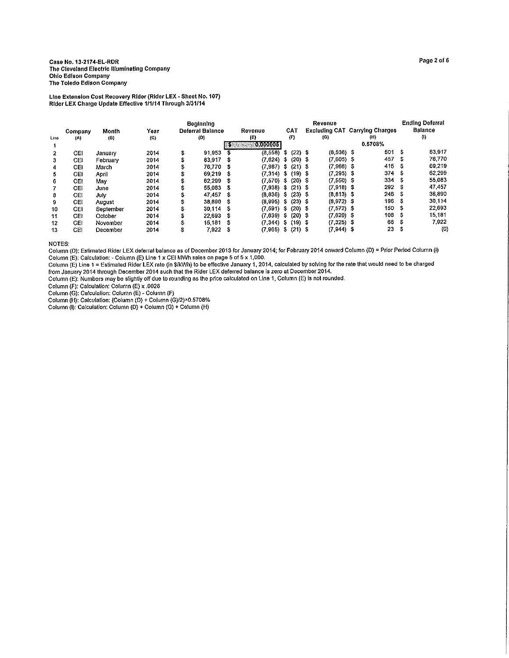Line Extension Cost Recovery Rider (Rider LEX - Sheet No. 107) Rider LEX Charge Update Effective 1/1/14 Through 3/31/14

|      |         |           |                            | <b>Beginning</b> |                  |      |                        |      |           | Revenue |              | <b>Ending Deferral</b> |                                       |      |                     |
|------|---------|-----------|----------------------------|------------------|------------------|------|------------------------|------|-----------|---------|--------------|------------------------|---------------------------------------|------|---------------------|
|      | Company | Month     | Year                       |                  | Deferral Balance |      | Revenue                |      | CAT       |         |              |                        | <b>Excluding CAT Carrying Charges</b> |      | Balance             |
| Line | (A)     | (B)       | $\left( \mathbf{C}\right)$ |                  | (D)              |      | (E)                    |      | (F)       |         | (G)          |                        | (H)                                   |      | $\langle 0 \rangle$ |
|      |         |           |                            |                  |                  |      | 70.000000              |      |           |         |              |                        | 0.5708%                               |      |                     |
| 2    | CE1     | January   | 2014                       | \$               | 91.953           | -5   | (8,558)                | - 31 | $(22)$ \$ |         | $(8,536)$ \$ |                        | 501                                   | - \$ | 83.917              |
| 3    | CEI     | February  | 2014                       | \$               | 83,917           | - 36 | $(7.624)$ \$           |      | $(20)$ \$ |         | $(7.605)$ \$ |                        | 457                                   | S    | 76,770              |
| 4    | CEI     | March     | 2014                       | \$               | 76,770           | - 3  | $(7.987)$ \$ $(21)$ \$ |      |           |         | $(7,966)$ \$ |                        | 415                                   | -3   | 69.219              |
| 5    | CEI     | April     | 2014                       | s                | 69.219           |      | $(7,314)$ \$ $(19)$ \$ |      |           |         | $(7.295)$ \$ |                        | 374S                                  |      | 62 299              |
| 6    | CEI     | May       | 2014                       | s                | 62 299           | -S   | $(7,570)$ \$ $(20)$ \$ |      |           |         | $(7,550)$ \$ |                        | 334                                   | -S   | 55.083              |
|      | CEI     | June      | 2014                       | s                | 55.083           | - S  | $(7,938)$ \$ $(21)$ \$ |      |           |         | $(7,918)$ \$ |                        | 292                                   | S    | 47.457              |
| 8    | CEI     | July      | 2014                       | s                | 47 457           | - S  | $(8,836)$ \$           |      | $(23)$ S  |         | $(8,813)$ \$ |                        | 246S                                  |      | 38,890              |
| 9    | CEI     | August    | 2014                       | s                | 38.890           | - S  | $(8,995)$ S            |      | $(23)$ \$ |         | $(8,972)$ \$ |                        | 196                                   | Ŝ    | 30.114              |
| 10   | CEI     | September | 2014                       | \$               | 30 114           | -S   | (7,591)                | -S   | $(20)$ \$ |         | $(7,572)$ \$ |                        | 150S                                  |      | 22,693              |
| 11   | CEI     | October   | 2014                       | s                | 22.693           | - 33 | (7,639)                | -S.  | $(20)$ \$ |         | $(7,620)$ \$ |                        | 108                                   | - \$ | 15,181              |
| 12   | CEI     | November  | 2014                       | \$               | 15.181           | -S   | $(7,344)$ S            |      | $(19)$ \$ |         | $(7,325)$ \$ |                        | 66                                    | \$   | 7,922               |
| 13   | CEI     | December  | 2014                       | \$               | 7.922            | - 3  | $(7,965)$ \$           |      | $(21)$ \$ |         | $(7,944)$ \$ |                        | 23                                    | ŝ.   | $\left( 0 \right)$  |

**NOTES:** 

Column (D); Estimated Rider LEX deferral balance as of December 2013 for January 2014; for February 2014 onward Column (D) = Prior Period Column (I)

Column (B): Estimated Ricer Levin (B) Line 1 x CEI MWh sales on page 5 of 5 x 1,000.<br>Column (E): Calculation: - Column (E) Line 1 x CEI MWh sales on page 5 of 5 x 1,000.<br>Column (E): Calculated Ricer LEX rate (in \$/kWh) to

Column (F): Calculation: Column (E) x .0026<br>Column (C): Calculation: Column (E) x .0026<br>Column (G): Calculation: Column (E) - Column (F)<br>Column (H): Calculation: (Column (D) + Column (G)/2)×0.5708%<br>Column (I): Calculation: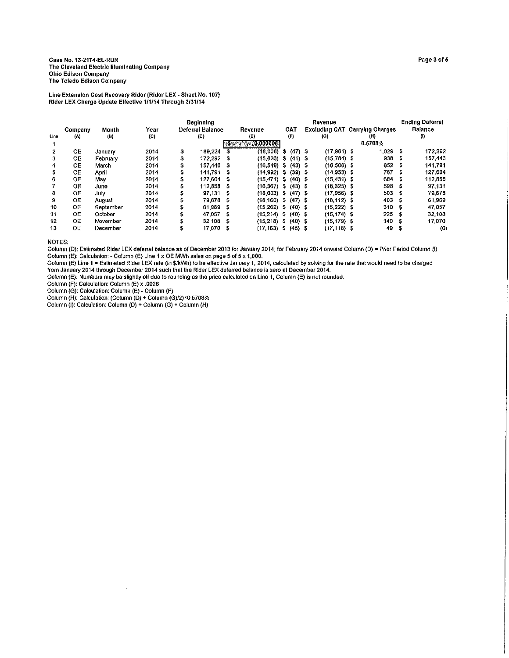Line Extension Cost Recovery Rider (Rider LEX - Sheet No. 107)<br>Rider LEX Charge Update Effective 1/1/14 Through 3/31/14

| Line | Year<br>Month<br>Company<br>(B)<br>(C)<br>(A) |           |      |    | <b>Beginning</b><br>Deferral Balance<br>Revenue<br>(D)<br>(E) |      |                          |  |           |  | Revenue<br>(G) | <b>Excluding CAT Carrying Charges</b><br>(H) |            |      | <b>Ending Deferral</b><br><b>Balance</b><br>(I) |
|------|-----------------------------------------------|-----------|------|----|---------------------------------------------------------------|------|--------------------------|--|-----------|--|----------------|----------------------------------------------|------------|------|-------------------------------------------------|
|      |                                               |           |      |    |                                                               | 185  | OROOOOOBI                |  |           |  |                |                                              | 0.6708%    |      |                                                 |
| 2    | OE                                            | January   | 2014 | \$ | 189.224                                                       | - \$ | $(18,008)$ \$ $(47)$ \$  |  |           |  | $(17,961)$ \$  |                                              | $1.029$ \$ |      | 172,292                                         |
| 3    | OE                                            | February  | 2014 | Ŝ  | 172.292 \$                                                    |      | $(15,826)$ S             |  | $(41)$ \$ |  | $(15,784)$ S   |                                              | 938        | -S   | 157.446                                         |
| 4    | 0E.                                           | March     | 2014 | \$ | 157.446                                                       | - S  | $(16.549)$ \$ $(43)$ \$  |  |           |  | $(16,508)$ \$  |                                              | 852        | S    | 141,791                                         |
| 5    | OE.                                           | April     | 2014 | \$ | 141.791                                                       | -S   | $(14.992)$ \$            |  | $(39)$ \$ |  | $(14.953)$ \$  |                                              | 767        | S    | 127.604                                         |
| 6    | 0E                                            | Mav       | 2014 | s  | 127.604                                                       | - 5  | $(15, 471)$ \$           |  | $(40)$ \$ |  | $(15, 431)$ \$ |                                              | 684        | -S   | 112,858                                         |
|      | OЕ                                            | June      | 2014 | \$ | 112.858                                                       | - 5  | $(16,367)$ \$ $(43)$ \$  |  |           |  | $(16, 325)$ \$ |                                              | 598 \$     |      | 97 131                                          |
| 8    | OE                                            | July      | 2014 | \$ | 97 131                                                        | - 33 | $(18,003)$ \$ $(47)$ \$  |  |           |  | $(17,956)$ \$  |                                              | 503        | - \$ | 79.678                                          |
| 9    | OE                                            | August    | 2014 | \$ | 79.678                                                        | - \$ | $(18.160)$ \$ $(47)$ \$  |  |           |  | $(18.112)$ \$  |                                              | 403S       |      | 61.969                                          |
| 10   | OE                                            | September | 2014 | S  | 61.969                                                        | -S   | $(15.262)$ S $(40)$ \$   |  |           |  | $(15,222)$ \$  |                                              | 310        | S    | 47.057                                          |
| 11   | OE                                            | October   | 2014 | \$ | 47.057                                                        | -S   | $(15,214)$ \$ $(40)$ \$  |  |           |  | $(15, 174)$ \$ |                                              | 225S       |      | 32.108                                          |
| 12   | 0E                                            | November  | 2014 | \$ | 32,108                                                        | - S  | $(15.218)$ \$            |  | $(40)$ S  |  | $(15, 179)$ \$ |                                              | 140        | -S   | 17.070                                          |
| 13   | <b>OE</b>                                     | December  | 2014 | \$ | 17.070                                                        | -5   | $(17, 163)$ \$ $(45)$ \$ |  |           |  | $(17, 118)$ \$ |                                              | 49.        | -S   | $\langle 0 \rangle$                             |

 $\sim$ 

NOTES:

NOTES:<br>Column (D): Estimated Rider LEX deferral balance as of December 2013 for January 2014; for February 2014 onward Column (D) = Prior Period Column (I)<br>Column (E): Calculation: - Column (E) Line 1 x OE MWh sales on pag

Column (E): Numbers may be slightly off due to rounding as the price calculated on Line 1, Column (E) is not rounded.

Column (F): Calculation: Column (E) x .0026

Column (G): Calculation: Column (E) - Column (F)<br>Column (G): Calculation: Column (E) - Column (F)<br>Column (H): Calculation: (Column (D) + Column (G)/2)×0.5708%<br>Column (I): Calculation: Column (D) + Column (G) + Column (H)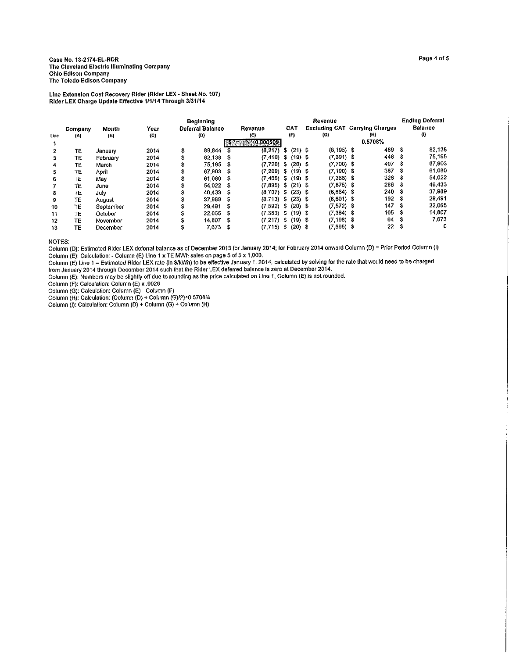Line Extension Cost Recovery Rider (Rider LEX - Sheet No. 107)<br>Rider LEX Charge Update Effective 1/1/14 Through 3/31/14

| Company<br>Line<br>(A) |    | Month<br>(B) | Үеаг<br>(C) |    | <b>Beginning</b><br>Deferral Balance<br>(D) |      | Revenue<br>(E)<br>0.0000091 |      | <b>CAT</b><br>(F) | Revenue<br><b>Excluding CAT</b><br>(G) | Carrying Charges<br>(H)<br>0.5708% |      | <b>Ending Deferral</b><br><b>Balance</b><br>(1) |
|------------------------|----|--------------|-------------|----|---------------------------------------------|------|-----------------------------|------|-------------------|----------------------------------------|------------------------------------|------|-------------------------------------------------|
| $\mathbf{2}$           | TE | January      | 2014        | \$ | 89,844                                      | \$   | (8,217)                     | -8   | $(21)$ \$         | $(8, 195)$ \$                          | 489                                | - \$ | 82,138                                          |
| 3                      | TE | February     | 2014        | \$ | 82.138                                      | - \$ | $(7,410)$ \$                |      | $(19)$ \$         | $(7,391)$ \$                           | 448                                | - \$ | 75,195                                          |
| 4                      | TE | March        | 2014        | \$ | 75 195                                      | - 3  | $(7,720)$ \$                |      | $(20)$ \$         | $(7,700)$ \$                           | 407                                | -S   | 67.903                                          |
| 5                      | TE | April        | 2014        | \$ | 67.903                                      | - 36 | $(7,209)$ S $(19)$ \$       |      |                   | $(7, 190)$ S                           | 367                                | S    | 61,080                                          |
| 6                      | TE | Mav          | 2014        | \$ | 61.080                                      | - \$ | $(7,405)$ \$ $(19)$ \$      |      |                   | $(7,386)$ \$                           | 328                                | S    | 54,022                                          |
|                        | ТE | June         | 2014        | \$ | 54.022 \$                                   |      | $(7,895)$ \$                |      | $(21)$ \$         | $(7, 875)$ \$                          | 286                                | - 3  | 46,433                                          |
| 8                      | ŦЕ | July         | 2014        | \$ | 46,433                                      | - S  | $(8,707)$ S                 |      | $(23)$ \$         | $(8,684)$ \$                           | 240S                               |      | 37,989                                          |
| 9                      | ТE | August       | 2014        | Ŝ  | 37,989                                      | - S  | $(8,713)$ \$                |      | $(23)$ \$         | $(8,691)$ S                            | 192                                | S    | 29.491                                          |
| 10                     | TE | September    | 2014        | s  | 29,491                                      | - 5  | (7,592)                     | s.   | $(20)$ S          | $(7,572)$ \$                           | 147                                | S    | 22.065                                          |
| 11                     | TE | October      | 2014        | \$ | 22.065                                      | -S   | (7, 383)                    | - \$ | $(19)$ \$         | $(7,364)$ \$                           | 105                                | 5    | 14.807                                          |
| 12                     | TE | November     | 2014        | s  | 14.807                                      | -S   | (7,217)                     | -\$  | $(19)$ \$         | $(7, 198)$ \$                          | 64                                 | -3   | 7.673                                           |
| 13                     | ТE | December     | 2014        | \$ | 7,673                                       | - 3  | $(7,715)$ \$                |      | $(20)$ \$         | $(7,695)$ \$                           | 22 <sub>1</sub>                    | - 5  | 0                                               |

NOTES:

Column (D): Estimated Rider LEX deferral balance as of December 2013 for January 2014; for February 2014 onward Column (D) = Prior Period Column (I)

Column (E): Calculated Nice Loumn (E) Line 1 x TE MWh sales on page 5 of 5 x 1,000.<br>Column (E): Calculated Nice Line 1 x TE MWh sales on page 5 of 5 x 1,000.<br>Column (E): Line 1 = Estimated Rider LEX rate (in \$/kWh) to be e

Column (F): Calculation: Column (E) x .0026

Column (G): Calculation: Column (E) - Column (F)<br>Column (G): Calculation: Column (E) - Column (F)<br>Column (H): Calculation: (Column (D) + Column (G)/2)×0.5708%<br>Column (J): Calculation: Column (D) + Column (G) + Column (H)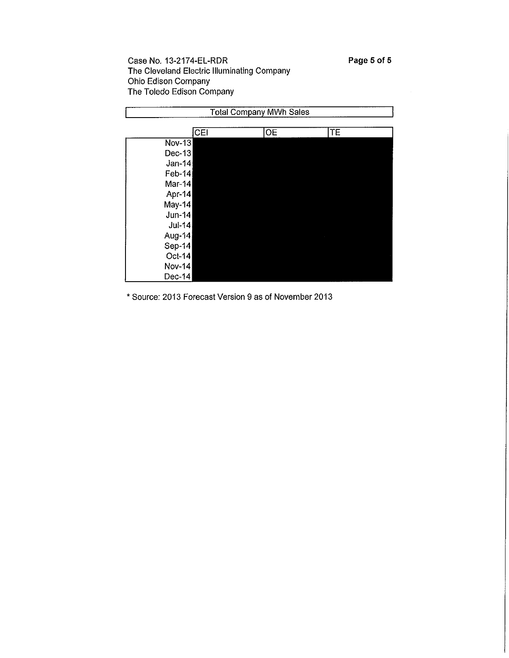|               |     | <b>Total Company MWh Sales</b> |    |  |
|---------------|-----|--------------------------------|----|--|
|               | CEI | OE                             | TE |  |
| $Nov-13$      |     |                                |    |  |
| Dec-13        |     |                                |    |  |
| $Jan-14$      |     |                                |    |  |
| Feb-14        |     |                                |    |  |
| Mar-14        |     |                                |    |  |
| Apr-14        |     |                                |    |  |
| May-14        |     |                                |    |  |
| Jun-14        |     |                                |    |  |
| Jul-14        |     |                                |    |  |
| Aug-14        |     |                                |    |  |
| Sep-14        |     |                                |    |  |
| Oct-14        |     |                                |    |  |
| <b>Nov-14</b> |     |                                |    |  |
| Dec-14        |     |                                |    |  |

\* Source: 2013 Forecast Version 9 as of November 2013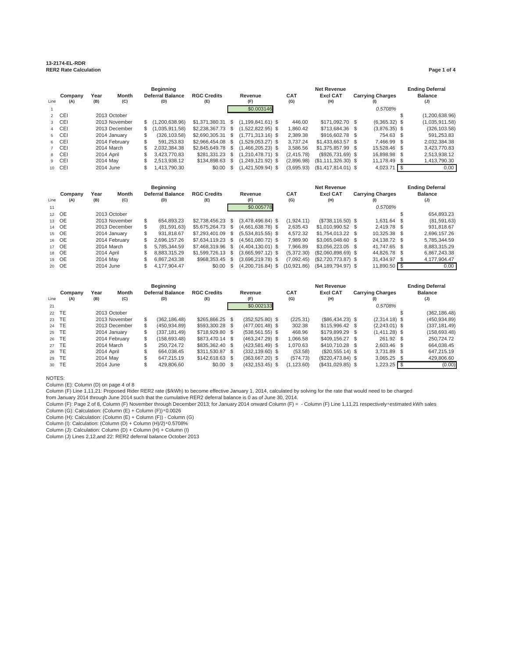#### **13-2174-EL-RDR RER2 Rate Calculation Page 1 of 4**

|      |         |            |               |     | <b>Beginning</b>        |                    |  |                     |            | <b>Ending Deferral</b> |  |                         |  |                |
|------|---------|------------|---------------|-----|-------------------------|--------------------|--|---------------------|------------|------------------------|--|-------------------------|--|----------------|
|      | Company | Year       | Month         |     | <b>Deferral Balance</b> | <b>RGC Credits</b> |  | Revenue             | <b>CAT</b> | <b>Excl CAT</b>        |  | <b>Carrying Charges</b> |  | <b>Balance</b> |
| Line | (A)     | (B)        | (C)           |     | (D)                     | (E)                |  | (F)                 | (G)        | (H)                    |  |                         |  | (J)            |
|      |         |            |               |     |                         |                    |  | \$0.003146          |            |                        |  | 0.5708%                 |  |                |
|      | 2 CEI   |            | 2013 October  |     |                         |                    |  |                     |            |                        |  |                         |  | (1,200,638.96) |
|      | 3 CEI   |            | 2013 November |     | \$(1.200.638.96)        | $$1,371,380.31$ \$ |  | $(1.199.841.61)$ \$ | 446.00     | \$171,092.70 \$        |  | $(6,365.32)$ \$         |  | (1,035,911.58) |
|      | 4 CEI   |            | 2013 December |     | \$(1.035.911.58)        | \$2,238,367.73 \$  |  | $(1.522.822.95)$ \$ | 1.860.42   | \$713.684.36 \$        |  | $(3,876.35)$ \$         |  | (326, 103.58)  |
|      | 5 CEI   |            | 2014 January  |     | (326.103.58)            | $$2.690.305.31$ \$ |  | $(1.771.313.16)$ \$ | 2.389.38   | \$916,602.78 \$        |  | 754.63 \$               |  | 591.253.83     |
|      | 6 CEI   |            | 2014 February | \$. | 591.253.83              | $$2.966.454.08$ \$ |  | $(1.529.053.27)$ \$ | 3.737.24   | $$1.433.663.57$ \$     |  | 7.466.99 \$             |  | 2,032,384.38   |
|      | 7 CEI   |            | 2014 March    |     | 2.032.384.38            | \$2,845,649.78 \$  |  | $(1,466,205.23)$ \$ | 3.586.56   | $$1,375.857.99$ \$     |  | 15.528.46 \$            |  | 3.423.770.83   |
|      | 8 CEI   | 2014 April |               |     | 3.423.770.83            | \$281.331.23 \$    |  | $(1.210.478.71)$ \$ | (2.415.78) | $(S926.731.69)$ \$     |  | 16.898.98 \$            |  | 2,513,938.12   |
|      | 9 CEI   | 2014 May   |               |     | 2,513,938.12            | \$134,898,63 \$    |  | $(1.249.121.92)$ \$ | (2.896.98) | $($1,111,326.30)$ \$   |  | 11,178.49 \$            |  | 1.413.790.30   |
|      | 10 CEI  | 2014 June  |               |     | 1.413.790.30            | \$0.00S            |  | $(1,421,509.94)$ \$ | (3.695.93) | $($1,417,814.01)$ \$   |  | 4,023.71                |  | 0.00           |
|      |         |            |               |     |                         |                    |  |                     |            |                        |  |                         |  |                |

|      |                |             |               |     | <b>Beginning</b>        |                           |      |                     |                   | <b>Ending Deferral</b> |  |                         |  |                       |
|------|----------------|-------------|---------------|-----|-------------------------|---------------------------|------|---------------------|-------------------|------------------------|--|-------------------------|--|-----------------------|
| Line | Company<br>(A) | Year<br>(B) | Month<br>(C)  |     | Deferral Balance<br>(D) | <b>RGC Credits</b><br>(E) |      | Revenue<br>(F)      | <b>CAT</b><br>(G) | <b>Excl CAT</b><br>(H) |  | <b>Carrying Charges</b> |  | <b>Balance</b><br>(J) |
| 11   |                |             |               |     |                         |                           |      | \$0.005778          |                   |                        |  | 0.5708%                 |  |                       |
|      | 12 OE          |             | 2013 October  |     |                         |                           |      |                     |                   |                        |  |                         |  | 654,893.23            |
|      | 13 OE          |             | 2013 November | \$. | 654.893.23              | $$2.738.456.23$ \$        |      | $(3.478.496.84)$ \$ | (1.924.11)        | $(S738.116.50)$ \$     |  | 1.631.64 \$             |  | (81,591.63)           |
|      | 14 OE          |             | 2013 December |     | (81.591.63)             | \$5.675.264.73 \$         |      | $(4.661.638.78)$ \$ | 2.635.43          | $$1.010.990.52$ \$     |  | 2.419.78 \$             |  | 931.818.67            |
|      | 15 OE          |             | 2014 January  |     | 931.818.67              | \$7.293.401.09 \$         |      | $(5.534.815.55)$ \$ | 4.572.32          | $$1.754.013.22$ \$     |  | 10.325.38 \$            |  | 2.696.157.26          |
|      | 16 OE          |             | 2014 February | \$. | 2.696.157.26            | $$7,634,119.23$ \$        |      | $(4,561,080.72)$ \$ | 7.989.90          | \$3.065.048.60 \$      |  | 24,138.72 \$            |  | 5,785,344.59          |
|      | 17 OE          |             | 2014 March    |     | 5.785.344.59            | \$7.468.319.96 \$         |      | $(4.404.130.01)$ \$ | 7.966.89          | $$3.056.223.05$ \$     |  | 41.747.65 \$            |  | 8.883.315.29          |
|      | 18 OE          | 2014 April  |               |     | 8.883.315.29            | $$1.599.726.13$ \$        |      | $(3.665.997.12)$ \$ | (5.372.30)        | $($2,060,898.69)$ \$   |  | 44.826.78 \$            |  | 6.867.243.38          |
|      | 19 OE          | 2014 May    |               |     | 6.867.243.38            | \$968,353.45              | - \$ | $(3,696,219.78)$ \$ | (7.092.45)        | $(S2.720.773.87)$ \$   |  | 31,434.97 \$            |  | 4,177,904.47          |
|      | 20 OE          | 2014 June   |               |     | 4.177.904.47            | \$0.00                    |      | $(4.200.716.84)$ \$ | (10.921.86)       | $(S4.189.794.97)$ \$   |  | 11,890.50 \$            |  | 0.00                  |

|       | <b>Beginning</b> |            |               |     |                         |                    |  |                    |  |            | <b>Net Revenue</b> |  |                         |  |                |  |
|-------|------------------|------------|---------------|-----|-------------------------|--------------------|--|--------------------|--|------------|--------------------|--|-------------------------|--|----------------|--|
|       | Company          | Year       | Month         |     | <b>Deferral Balance</b> | <b>RGC Credits</b> |  | Revenue            |  | <b>CAT</b> | <b>Excl CAT</b>    |  | <b>Carrying Charges</b> |  | <b>Balance</b> |  |
| Line  | (A)              | (B)        | (C)           |     | (D)                     | (E)                |  | (F)                |  | (G)        | (H)                |  |                         |  | (J)            |  |
| 21    |                  |            |               |     |                         |                    |  | \$0.002133         |  |            |                    |  | 0.5708%                 |  |                |  |
| 22 TE |                  |            | 2013 October  |     |                         |                    |  |                    |  |            |                    |  |                         |  | (362, 186.48)  |  |
| 23 TE |                  |            | 2013 November | \$. | (362.186.48)            | $$265.866.25$ \$   |  | $(352, 525.80)$ \$ |  | (225.31)   | $($86,434.23)$ \$  |  | $(2,314.18)$ \$         |  | (450, 934.89)  |  |
| 24 TE |                  |            | 2013 December |     | (450.934.89)            | \$593,300.28 \$    |  | $(477.001.48)$ \$  |  | 302.38     | $$115.996.42$ \$   |  | $(2.243.01)$ \$         |  | (337, 181.49)  |  |
| 25 TE |                  |            | 2014 January  |     | (337.181.49)            | \$718,929.80 \$    |  | $(538, 561.55)$ \$ |  | 468.96     | \$179,899.29 \$    |  | $(1,411.28)$ \$         |  | (158, 693.48)  |  |
| 26 TE |                  |            | 2014 February | \$. | (158.693.48)            | \$873,470,14 \$    |  | $(463, 247.29)$ \$ |  | 1,066.58   | \$409.156.27 \$    |  | 261.92 \$               |  | 250,724.72     |  |
|       | 27 TE            | 2014 March |               | \$  | 250.724.72              | \$835,362.40 \$    |  | $(423,581.49)$ \$  |  | 1,070.63   | \$410.710.28 \$    |  | $2.603.46$ \$           |  | 664.038.45     |  |
|       | 28 TE            | 2014 April |               |     | 664.038.45              | \$311.530.87 \$    |  | $(332.139.60)$ \$  |  | (53.58)    | $(\$20,555.14)$ \$ |  | 3.731.89 \$             |  | 647.215.19     |  |
| 29 TE |                  | 2014 May   |               |     | 647.215.19              | $$142,618.63$ \$   |  | $(363,667.20)$ \$  |  | (574.73)   | (\$220,473.84) \$  |  | $3,065.25$ \$           |  | 429,806.60     |  |
|       | 30 TE            | 2014 June  |               |     | 429.806.60              | $$0.00$ \$         |  | $(432, 153.45)$ \$ |  | (1.123.60) | $(S431.029.85)$ \$ |  | $1,223.25$ \$           |  | (0.00)         |  |

#### NOTES:

Column (E): Column (D) on page 4 of 8<br>Column (F) Line 1,11,21: Proposed Rider RER2 rate (\$/kWh) to become effective January 1, 2014, calculated by solving for the rate that would need to be charged<br>from January 2014 throug

Column (G): Calculation: (Column (E) + Column (F)) ࢜ 0.0026 Column (H): Calculation: (Column (E) + Column (F)) - Column (G)

Column (I): Calculation: (Column (D) + Column (H)/2) ࢜ 0.5708% Column (J): Calculation: Column (D) + Column (H) + Column (I)

Column (J) Lines 2,12,and 22: RER2 deferral balance October 2013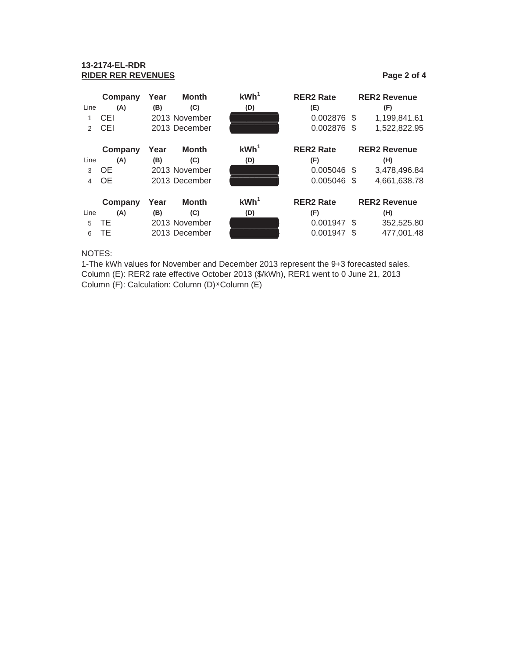### **13-2174-EL-RDR RIDER RER REVENUES Page 2 of 4**

|                | Company         | Year          | <b>Month</b>                     | KWh <sup>1</sup> | <b>RER2 Rate</b> |            | <b>RER2 Revenue</b> |
|----------------|-----------------|---------------|----------------------------------|------------------|------------------|------------|---------------------|
| Line           | (A)             | (B)           | (C)                              | (D)              | (E)              |            | (F)                 |
|                | CEI             |               | 2013 November                    |                  | 0.002876 \$      |            | 1,199,841.61        |
| $\mathcal{P}$  | CEI             |               | 2013 December                    |                  | 0.002876 \$      |            | 1,522,822.95        |
|                | Company<br>Year |               | <b>Month</b>                     | KWh <sup>1</sup> | <b>RER2 Rate</b> |            | <b>RER2 Revenue</b> |
| Line           | (A)             | (B)           | (C)                              | (D)              | (F)              |            | (H)                 |
| 3              | <b>OE</b>       |               | 2013 November                    |                  | $0.005046$ \$    |            | 3,478,496.84        |
| $\overline{4}$ | 0E              |               | 2013 December                    |                  | 0.005046 \$      |            | 4,661,638.78        |
|                | Company         | Year          | KWh <sup>1</sup><br><b>Month</b> |                  | <b>RER2 Rate</b> |            | <b>RER2 Revenue</b> |
| Line           | (A)             | (B)           | (C)                              | (D)              | (F)              |            | (H)                 |
| 5              | ТE              | 2013 November |                                  |                  | 0.001947 \$      |            | 352,525.80          |
| 6              | ТE              | 2013 December |                                  |                  | 0.001947         | 477,001.48 |                     |

### NOTES:

1-The kWh values for November and December 2013 represent the 9+3 forecasted sales. Column (E): RER2 rate effective October 2013 (\$/kWh), RER1 went to 0 June 21, 2013 Column (F): Calculation: Column (D) × Column (E)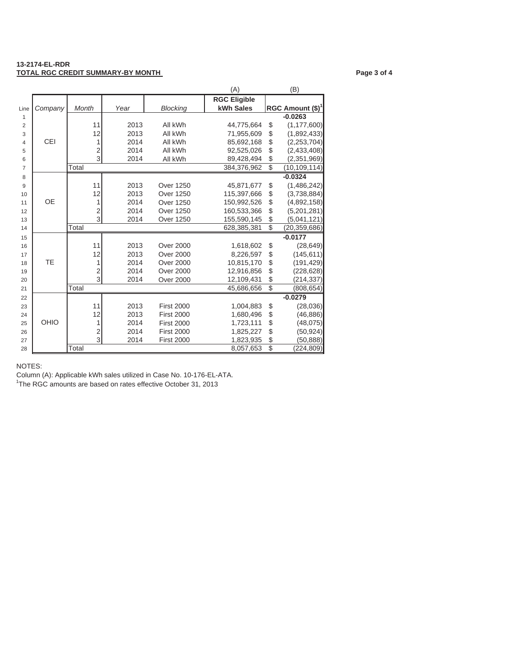#### **13-2174-EL-RDR TOTAL RGC CREDIT SUMMARY-BY MONTH CONTRACT CONTRACT CONTRACT Page 3 of 4**

|                |            |                         |      |                   | (A)                 |                 | (B)                 |
|----------------|------------|-------------------------|------|-------------------|---------------------|-----------------|---------------------|
|                |            |                         |      |                   | <b>RGC Eligible</b> |                 |                     |
| Line           | Company    | Month                   | Year | <b>Blocking</b>   | kWh Sales           |                 | RGC Amount $(\$)^1$ |
| $\mathbf{1}$   |            |                         |      |                   |                     |                 | $-0.0263$           |
| $\overline{2}$ |            | 11                      | 2013 | All kWh           | 44,775,664          | \$              | (1, 177, 600)       |
| 3              |            | 12                      | 2013 | All kWh           | 71,955,609          | \$              | (1,892,433)         |
| $\overline{4}$ | <b>CEI</b> |                         | 2014 | All kWh           | 85,692,168          | \$              | (2, 253, 704)       |
| 5              |            | $\overline{\mathbf{c}}$ | 2014 | All kWh           | 92,525,026          | \$              | (2,433,408)         |
| 6              |            | $\overline{3}$          | 2014 | All kWh           | 89,428,494          | \$              | (2,351,969)         |
| $\overline{7}$ |            | Total                   |      |                   | 384,376,962         | $\overline{\$}$ | (10, 109, 114)      |
| 8              |            |                         |      |                   |                     |                 | $-0.0324$           |
| 9              |            | 11                      | 2013 | <b>Over 1250</b>  | 45,871,677          | \$              | (1,486,242)         |
| 10             |            | 12                      | 2013 | <b>Over 1250</b>  | 115,397,666         | \$              | (3,738,884)         |
| 11             | <b>OE</b>  | 1                       | 2014 | <b>Over 1250</b>  | 150,992,526         | \$              | (4,892,158)         |
| 12             |            | 2                       | 2014 | <b>Over 1250</b>  | 160,533,366         | \$              | (5,201,281)         |
| 13             |            | 3                       | 2014 | <b>Over 1250</b>  | 155,590,145         | \$              | (5,041,121)         |
| 14             |            | Total                   |      |                   | 628,385,381         | \$              | (20, 359, 686)      |
| 15             |            |                         |      |                   |                     |                 | $-0.0177$           |
| 16             |            | 11                      | 2013 | <b>Over 2000</b>  | 1,618,602           | \$              | (28, 649)           |
| 17             |            | 12                      | 2013 | <b>Over 2000</b>  | 8,226,597           | \$              | (145, 611)          |
| 18             | <b>TE</b>  | 1                       | 2014 | <b>Over 2000</b>  | 10,815,170          | \$              | (191, 429)          |
| 19             |            | $\overline{\mathbf{c}}$ | 2014 | <b>Over 2000</b>  | 12,916,856          | \$              | (228, 628)          |
| 20             |            | $\overline{3}$          | 2014 | <b>Over 2000</b>  | 12,109,431          | \$              | (214,337)           |
| 21             |            | Total                   |      |                   | 45,686,656          | $\overline{\$}$ | (808, 654)          |
| 22             |            |                         |      |                   |                     |                 | $-0.0279$           |
| 23             |            | 11                      | 2013 | <b>First 2000</b> | 1,004,883           | \$              | (28, 036)           |
| 24             |            | 12                      | 2013 | <b>First 2000</b> | 1,680,496           | \$              | (46, 886)           |
| 25             | OHIO       | 1                       | 2014 | <b>First 2000</b> | 1,723,111           | \$              | (48, 075)           |
| 26             |            | $\overline{c}$          | 2014 | <b>First 2000</b> | 1,825,227           | \$              | (50, 924)           |

26 2014 First 2000 1,825,227 \$ (50,924)<br>27 3 2014 First 2000 1,823,935 \$ (50,888) 27 27 3 2014 First 2000 1,823,935 \$ (50,888)<br>28 3 2014 First 2000 3,057,653 \$ (224,809)

NOTES:

Column (A): Applicable kWh sales utilized in Case No. 10-176-EL-ATA.

28 Total 8,057,653 \$

<sup>1</sup>The RGC amounts are based on rates effective October 31, 2013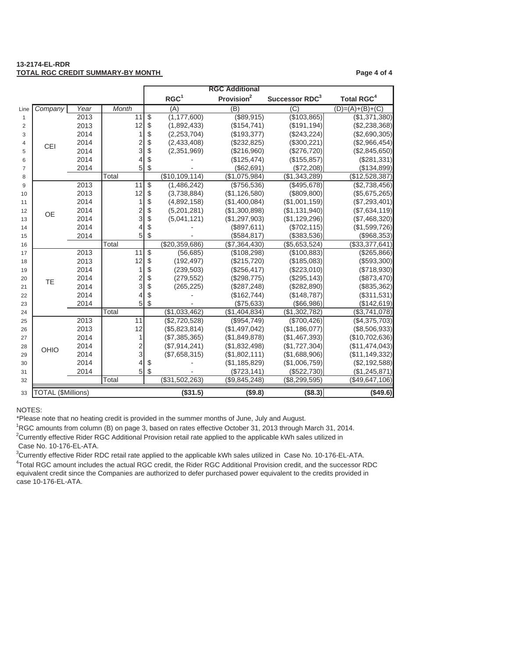#### **13-2174-EL-RDR TOTAL RGC CREDIT SUMMARY-BY MONTH PAGE 4 OF 4 OF A SET AND RESPONDENT ASSAULT ASSAULT ASSAULT ASSAULT ASSAULT**

|                |                           |      |                         |    | <b>RGC Additional</b> |                        |                            |                              |
|----------------|---------------------------|------|-------------------------|----|-----------------------|------------------------|----------------------------|------------------------------|
|                |                           |      |                         |    | RGC <sup>1</sup>      | Provision <sup>2</sup> | Successor RDC <sup>3</sup> | <b>Total RGC<sup>4</sup></b> |
| Line           | Company                   | Year | Month                   |    | (A)                   | (B)                    | $\overline{C}$             | $(D)=(A)+(B)+(C)$            |
| $\mathbf{1}$   |                           | 2013 | 11                      | \$ | (1, 177, 600)         | (\$89,915)             | (\$103,865)                | (\$1,371,380)                |
| 2              |                           | 2013 | 12                      | \$ | (1,892,433)           | (\$154,741)            | (\$191, 194)               | (\$2,238,368)                |
| 3              | <b>CEI</b>                | 2014 | 1                       | \$ | (2,253,704)           | (\$193,377)            | (\$243,224)                | (\$2,690,305)                |
| 4              |                           | 2014 | $\frac{2}{3}$           | \$ | (2,433,408)           | (\$232,825)            | (\$300,221)                | (\$2,966,454)                |
| 5              |                           | 2014 |                         | \$ | (2,351,969)           | (\$216,960)            | (\$276,720)                | (\$2,845,650)                |
| 6              |                           | 2014 | $\overline{4}$          | \$ |                       | (\$125,474)            | (\$155,857)                | (\$281,331)                  |
| $\overline{7}$ |                           | 2014 | 5                       | \$ |                       | (\$62,691)             | (\$72,208)                 | (\$134,899)                  |
| 8              |                           |      | Total                   |    | (\$10,109,114)        | (\$1,075,984)          | (\$1,343,289)              | (\$12,528,387)               |
| 9              |                           | 2013 | 11                      | \$ | (1,486,242)           | (\$756,536)            | (\$495,678)                | (\$2,738,456)                |
| 10             |                           | 2013 | 12                      | \$ | (3,738,884)           | (\$1,126,580)          | (\$809, 800)               | (\$5,675,265)                |
| 11             |                           | 2014 | 1                       | \$ | (4,892,158)           | (\$1,400,084)          | (\$1,001,159)              | (\$7,293,401)                |
| 12             | <b>OE</b>                 | 2014 | $\frac{2}{3}$           | \$ | (5,201,281)           | (\$1,300,898)          | (\$1,131,940)              | (\$7,634,119)                |
| 13             |                           | 2014 |                         | \$ | (5,041,121)           | (\$1,297,903)          | (\$1,129,296)              | (\$7,468,320)                |
| 14             |                           | 2014 | $\overline{4}$          | \$ |                       | (\$897,611)            | (\$702, 115)               | (\$1,599,726)                |
| 15             |                           | 2014 | 5                       | \$ |                       | (\$584, 817)           | (\$383,536)                | (\$968,353)                  |
| 16             |                           |      | Total                   |    | (\$20,359,686)        | (\$7,364,430)          | (\$5,653,524)              | (\$33,377,641)               |
| 17             |                           | 2013 | 11                      | \$ | (56, 685)             | (\$108,298)            | (\$100,883)                | (\$265,866)                  |
| 18             |                           | 2013 | 12                      | \$ | (192, 497)            | (\$215,720)            | (\$185,083)                | ( \$593, 300)                |
| 19             |                           | 2014 | 1                       | \$ | (239, 503)            | (\$256,417)            | (\$223,010)                | (\$718,930)                  |
| 20             | TE                        | 2014 | $\frac{2}{3}$           | \$ | (279, 552)            | (\$298,775)            | (\$295, 143)               | (\$873,470)                  |
| 21             |                           | 2014 |                         | \$ | (265, 225)            | (\$287,248)            | (\$282,890)                | (\$835,362)                  |
| 22             |                           | 2014 | $\overline{4}$          | \$ |                       | (\$162,744)            | (\$148,787)                | (\$311,531)                  |
| 23             |                           | 2014 | 5                       | \$ |                       | (\$75,633)             | ( \$66, 986)               | (\$142, 619)                 |
| 24             |                           |      | Total                   |    | (\$1,033,462)         | (\$1,404,834)          | (\$1,302,782)              | (\$3,741,078)                |
| 25             |                           | 2013 | 11                      |    | (\$2,720,528)         | (\$954,749)            | (\$700,426)                | (\$4,375,703)                |
| 26             |                           | 2013 | 12                      |    | (\$5,823,814)         | (\$1,497,042)          | (\$1,186,077)              | (\$8,506,933)                |
| 27             |                           | 2014 | 1                       |    | (\$7,385,365)         | (\$1,849,878)          | (\$1,467,393)              | (\$10,702,636)               |
| 28             | OHIO                      | 2014 | $\overline{\mathbf{c}}$ |    | (\$7,914,241)         | (\$1,832,498)          | (\$1,727,304)              | (\$11,474,043)               |
| 29             |                           | 2014 | 3                       |    | (\$7,658,315)         | (\$1,802,111)          | (\$1,688,906)              | (\$11,149,332)               |
| 30             |                           | 2014 | 4                       | \$ |                       | (\$1,185,829)          | (\$1,006,759)              | (\$2,192,588)                |
| 31             |                           | 2014 | 5                       | \$ |                       | (\$723, 141)           | (\$522,730)                | (\$1,245,871)                |
| 32             |                           |      | Total                   |    | (\$31,502,263)        | (\$9,845,248)          | (\$8,299,595)              | (\$49,647,106)               |
| 33             | <b>TOTAL (\$Millions)</b> |      |                         |    | (\$31.5)              | ( \$9.8)               | (\$8.3)                    | ( \$49.6)                    |

#### NOTES:

\*Please note that no heating credit is provided in the summer months of June, July and August.

<sup>2</sup>Currently effective Rider RGC Additional Provision retail rate applied to the applicable kWh sales utilized in RGC amounts from column (B) on page 3, based on rates effective October 31, 2013 through March 31, 2014.

Case No. 10-176-EL-ATA.

Currently effective Rider RDC retail rate applied to the applicable kWh sales utilized in Case No. 10-176-EL-ATA.

 Total RGC amount includes the actual RGC credit, the Rider RGC Additional Provision credit, and the successor RDC equivalent credit since the Companies are authorized to defer purchased power equivalent to the credits provided in case 10-176-EL-ATA.